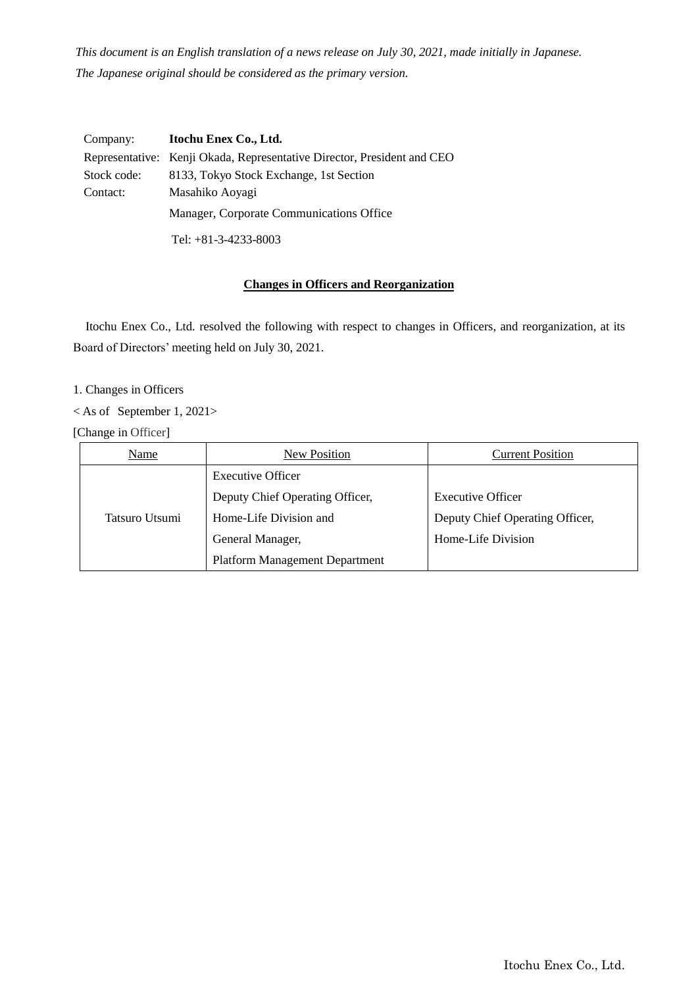*This document is an English translation of a news release on July 30, 2021, made initially in Japanese. The Japanese original should be considered as the primary version.*

| Company:    | Itochu Enex Co., Ltd.                                                   |  |
|-------------|-------------------------------------------------------------------------|--|
|             | Representative: Kenji Okada, Representative Director, President and CEO |  |
| Stock code: | 8133, Tokyo Stock Exchange, 1st Section                                 |  |
| Contact:    | Masahiko Aoyagi                                                         |  |
|             | Manager, Corporate Communications Office                                |  |
|             | Tel: $+81-3-4233-8003$                                                  |  |

# **Changes in Officers and Reorganization**

Itochu Enex Co., Ltd. resolved the following with respect to changes in Officers, and reorganization, at its Board of Directors' meeting held on July 30, 2021.

- 1. Changes in Officers
- < As of September 1, 2021>

[Change in Officer]

| Name           | New Position                          | <b>Current Position</b>         |
|----------------|---------------------------------------|---------------------------------|
| Tatsuro Utsumi | <b>Executive Officer</b>              |                                 |
|                | Deputy Chief Operating Officer,       | <b>Executive Officer</b>        |
|                | Home-Life Division and                | Deputy Chief Operating Officer, |
|                | General Manager,                      | Home-Life Division              |
|                | <b>Platform Management Department</b> |                                 |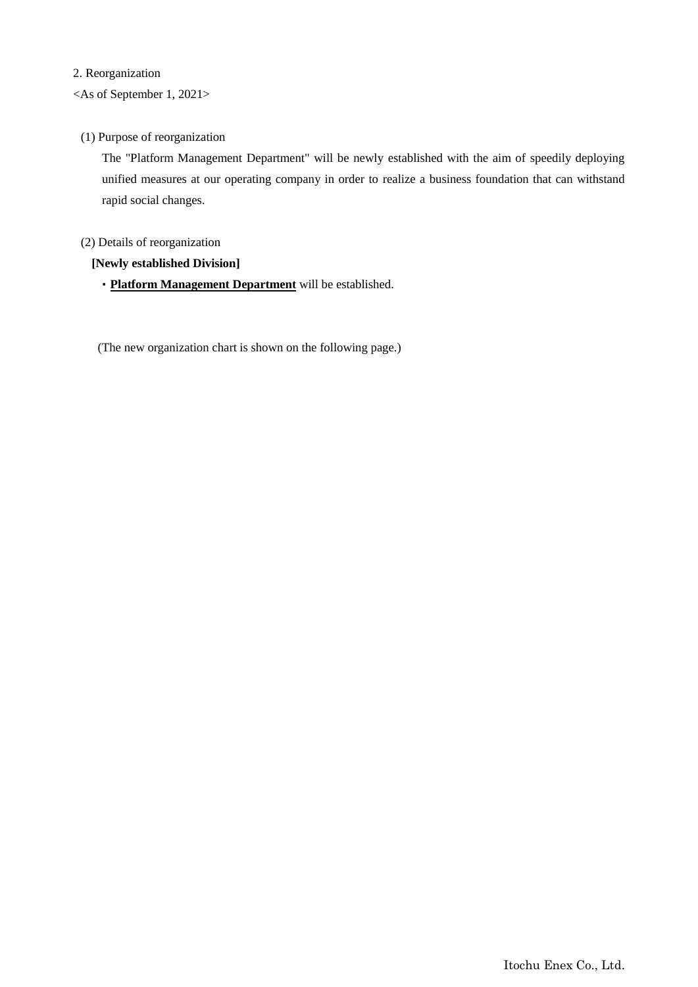#### 2. Reorganization

# <As of September 1, 2021>

## (1) Purpose of reorganization

The "Platform Management Department" will be newly established with the aim of speedily deploying unified measures at our operating company in order to realize a business foundation that can withstand rapid social changes.

## (2) Details of reorganization

#### **[Newly established Division]**

・**Platform Management Department** will be established.

(The new organization chart is shown on the following page.)